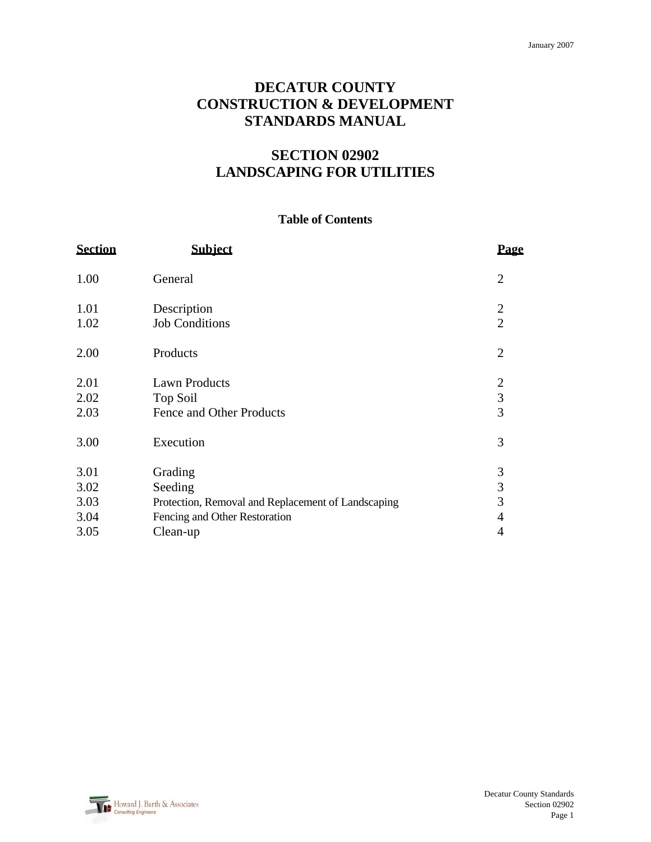# **DECATUR COUNTY CONSTRUCTION & DEVELOPMENT STANDARDS MANUAL**

# **SECTION 02902 LANDSCAPING FOR UTILITIES**

# **Table of Contents**

| <b>Section</b>               | <b>Subiect</b>                                                                                            | Page                             |
|------------------------------|-----------------------------------------------------------------------------------------------------------|----------------------------------|
| 1.00                         | General                                                                                                   | $\overline{2}$                   |
| 1.01<br>1.02                 | Description<br><b>Job Conditions</b>                                                                      | $\overline{2}$<br>$\overline{2}$ |
| 2.00                         | Products                                                                                                  | $\overline{2}$                   |
| 2.01<br>2.02<br>2.03         | <b>Lawn Products</b><br>Top Soil<br>Fence and Other Products                                              | $\mathbf{2}$<br>3<br>3           |
| 3.00                         | Execution                                                                                                 | 3                                |
| 3.01<br>3.02<br>3.03<br>3.04 | Grading<br>Seeding<br>Protection, Removal and Replacement of Landscaping<br>Fencing and Other Restoration | $\mathfrak{Z}$<br>3<br>3<br>4    |
| 3.05                         | Clean-up                                                                                                  | $\overline{4}$                   |

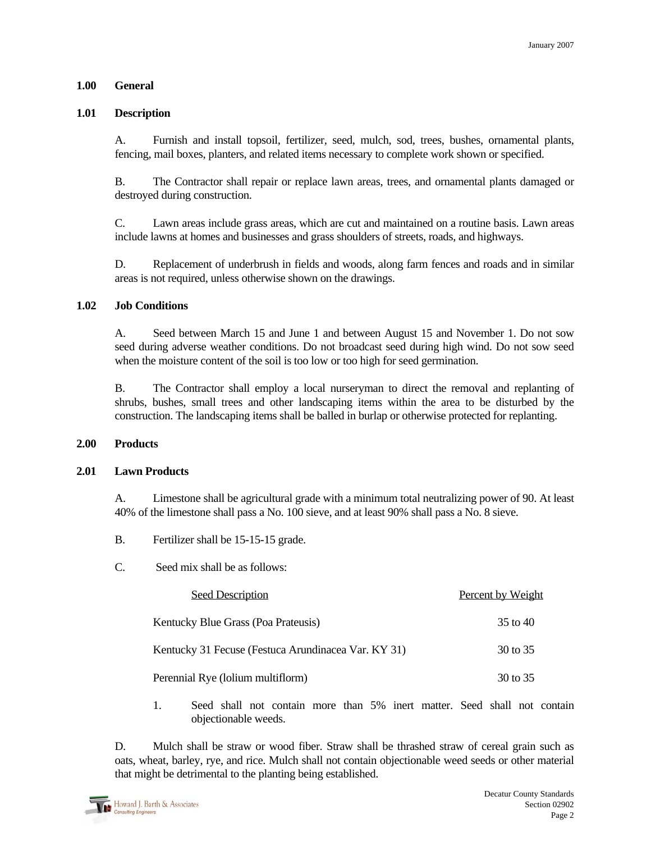# **1.00 General**

### **1.01 Description**

 A. Furnish and install topsoil, fertilizer, seed, mulch, sod, trees, bushes, ornamental plants, fencing, mail boxes, planters, and related items necessary to complete work shown or specified.

 B. The Contractor shall repair or replace lawn areas, trees, and ornamental plants damaged or destroyed during construction.

 C. Lawn areas include grass areas, which are cut and maintained on a routine basis. Lawn areas include lawns at homes and businesses and grass shoulders of streets, roads, and highways.

 D. Replacement of underbrush in fields and woods, along farm fences and roads and in similar areas is not required, unless otherwise shown on the drawings.

#### **1.02 Job Conditions**

 A. Seed between March 15 and June 1 and between August 15 and November 1. Do not sow seed during adverse weather conditions. Do not broadcast seed during high wind. Do not sow seed when the moisture content of the soil is too low or too high for seed germination.

 B. The Contractor shall employ a local nurseryman to direct the removal and replanting of shrubs, bushes, small trees and other landscaping items within the area to be disturbed by the construction. The landscaping items shall be balled in burlap or otherwise protected for replanting.

#### **2.00 Products**

#### **2.01 Lawn Products**

 A. Limestone shall be agricultural grade with a minimum total neutralizing power of 90. At least 40% of the limestone shall pass a No. 100 sieve, and at least 90% shall pass a No. 8 sieve.

- B. Fertilizer shall be 15-15-15 grade.
- C. Seed mix shall be as follows:

| <b>Seed Description</b>                             | Percent by Weight |
|-----------------------------------------------------|-------------------|
| Kentucky Blue Grass (Poa Prateusis)                 | 35 to 40          |
| Kentucky 31 Fecuse (Festuca Arundinacea Var. KY 31) | 30 to 35          |
| Perennial Rye (lolium multiflorm)                   | 30 to 35          |

 1. Seed shall not contain more than 5% inert matter. Seed shall not contain objectionable weeds.

 D. Mulch shall be straw or wood fiber. Straw shall be thrashed straw of cereal grain such as oats, wheat, barley, rye, and rice. Mulch shall not contain objectionable weed seeds or other material that might be detrimental to the planting being established.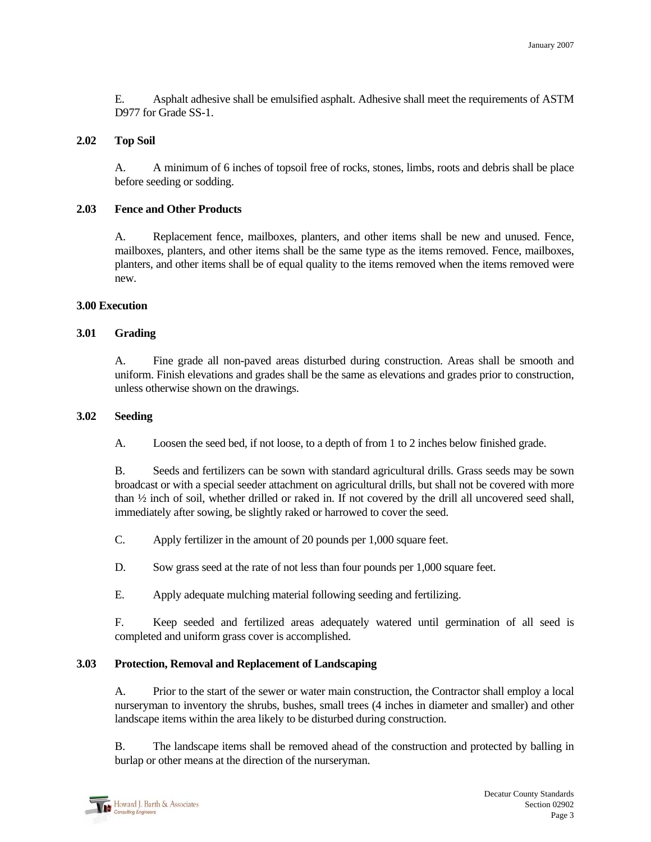E. Asphalt adhesive shall be emulsified asphalt. Adhesive shall meet the requirements of ASTM D977 for Grade SS-1.

#### **2.02 Top Soil**

A. A minimum of 6 inches of topsoil free of rocks, stones, limbs, roots and debris shall be place before seeding or sodding.

#### **2.03 Fence and Other Products**

A. Replacement fence, mailboxes, planters, and other items shall be new and unused. Fence, mailboxes, planters, and other items shall be the same type as the items removed. Fence, mailboxes, planters, and other items shall be of equal quality to the items removed when the items removed were new.

# **3.00 Execution**

# **3.01 Grading**

A. Fine grade all non-paved areas disturbed during construction. Areas shall be smooth and uniform. Finish elevations and grades shall be the same as elevations and grades prior to construction, unless otherwise shown on the drawings.

#### **3.02 Seeding**

A. Loosen the seed bed, if not loose, to a depth of from 1 to 2 inches below finished grade.

 B. Seeds and fertilizers can be sown with standard agricultural drills. Grass seeds may be sown broadcast or with a special seeder attachment on agricultural drills, but shall not be covered with more than ½ inch of soil, whether drilled or raked in. If not covered by the drill all uncovered seed shall, immediately after sowing, be slightly raked or harrowed to cover the seed.

C. Apply fertilizer in the amount of 20 pounds per 1,000 square feet.

D. Sow grass seed at the rate of not less than four pounds per 1,000 square feet.

E. Apply adequate mulching material following seeding and fertilizing.

 F. Keep seeded and fertilized areas adequately watered until germination of all seed is completed and uniform grass cover is accomplished.

# **3.03 Protection, Removal and Replacement of Landscaping**

 A. Prior to the start of the sewer or water main construction, the Contractor shall employ a local nurseryman to inventory the shrubs, bushes, small trees (4 inches in diameter and smaller) and other landscape items within the area likely to be disturbed during construction.

 B. The landscape items shall be removed ahead of the construction and protected by balling in burlap or other means at the direction of the nurseryman.